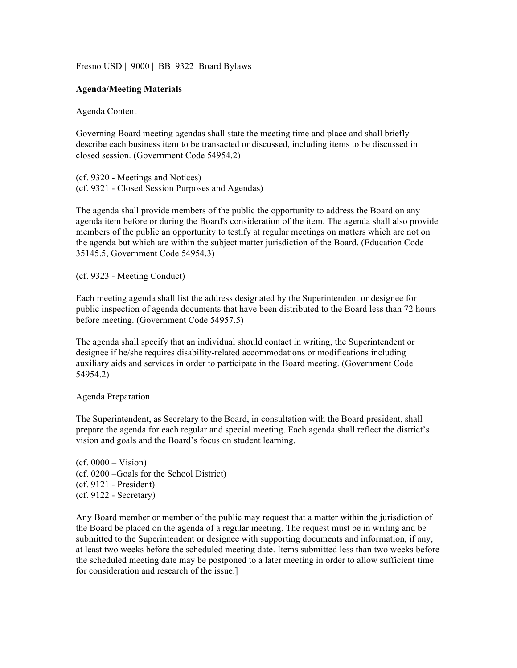Fresno USD | 9000 | BB 9322 Board Bylaws

## **Agenda/Meeting Materials**

Agenda Content

Governing Board meeting agendas shall state the meeting time and place and shall briefly describe each business item to be transacted or discussed, including items to be discussed in closed session. (Government Code 54954.2)

(cf. 9320 - Meetings and Notices) (cf. 9321 - Closed Session Purposes and Agendas)

The agenda shall provide members of the public the opportunity to address the Board on any agenda item before or during the Board's consideration of the item. The agenda shall also provide members of the public an opportunity to testify at regular meetings on matters which are not on the agenda but which are within the subject matter jurisdiction of the Board. (Education Code 35145.5, Government Code 54954.3)

(cf. 9323 - Meeting Conduct)

Each meeting agenda shall list the address designated by the Superintendent or designee for public inspection of agenda documents that have been distributed to the Board less than 72 hours before meeting. (Government Code 54957.5)

The agenda shall specify that an individual should contact in writing, the Superintendent or designee if he/she requires disability-related accommodations or modifications including auxiliary aids and services in order to participate in the Board meeting. (Government Code 54954.2)

## Agenda Preparation

The Superintendent, as Secretary to the Board, in consultation with the Board president, shall prepare the agenda for each regular and special meeting. Each agenda shall reflect the district's vision and goals and the Board's focus on student learning.

 $(cf. 0000 - Vision)$ (cf. 0200 –Goals for the School District) (cf. 9121 - President) (cf. 9122 - Secretary)

Any Board member or member of the public may request that a matter within the jurisdiction of the Board be placed on the agenda of a regular meeting. The request must be in writing and be submitted to the Superintendent or designee with supporting documents and information, if any, at least two weeks before the scheduled meeting date. Items submitted less than two weeks before the scheduled meeting date may be postponed to a later meeting in order to allow sufficient time for consideration and research of the issue.]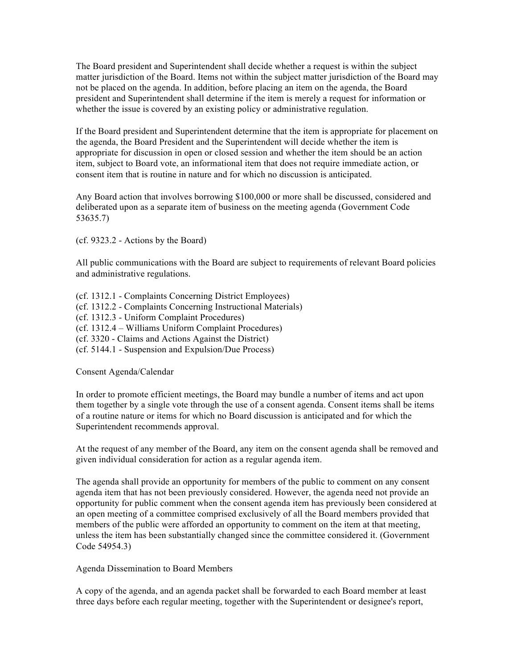The Board president and Superintendent shall decide whether a request is within the subject matter jurisdiction of the Board. Items not within the subject matter jurisdiction of the Board may not be placed on the agenda. In addition, before placing an item on the agenda, the Board president and Superintendent shall determine if the item is merely a request for information or whether the issue is covered by an existing policy or administrative regulation.

If the Board president and Superintendent determine that the item is appropriate for placement on the agenda, the Board President and the Superintendent will decide whether the item is appropriate for discussion in open or closed session and whether the item should be an action item, subject to Board vote, an informational item that does not require immediate action, or consent item that is routine in nature and for which no discussion is anticipated.

Any Board action that involves borrowing \$100,000 or more shall be discussed, considered and deliberated upon as a separate item of business on the meeting agenda (Government Code 53635.7)

(cf. 9323.2 - Actions by the Board)

All public communications with the Board are subject to requirements of relevant Board policies and administrative regulations.

(cf. 1312.1 - Complaints Concerning District Employees) (cf. 1312.2 - Complaints Concerning Instructional Materials) (cf. 1312.3 - Uniform Complaint Procedures) (cf. 1312.4 – Williams Uniform Complaint Procedures) (cf. 3320 - Claims and Actions Against the District) (cf. 5144.1 - Suspension and Expulsion/Due Process)

Consent Agenda/Calendar

In order to promote efficient meetings, the Board may bundle a number of items and act upon them together by a single vote through the use of a consent agenda. Consent items shall be items of a routine nature or items for which no Board discussion is anticipated and for which the Superintendent recommends approval.

At the request of any member of the Board, any item on the consent agenda shall be removed and given individual consideration for action as a regular agenda item.

The agenda shall provide an opportunity for members of the public to comment on any consent agenda item that has not been previously considered. However, the agenda need not provide an opportunity for public comment when the consent agenda item has previously been considered at an open meeting of a committee comprised exclusively of all the Board members provided that members of the public were afforded an opportunity to comment on the item at that meeting, unless the item has been substantially changed since the committee considered it. (Government Code 54954.3)

Agenda Dissemination to Board Members

A copy of the agenda, and an agenda packet shall be forwarded to each Board member at least three days before each regular meeting, together with the Superintendent or designee's report,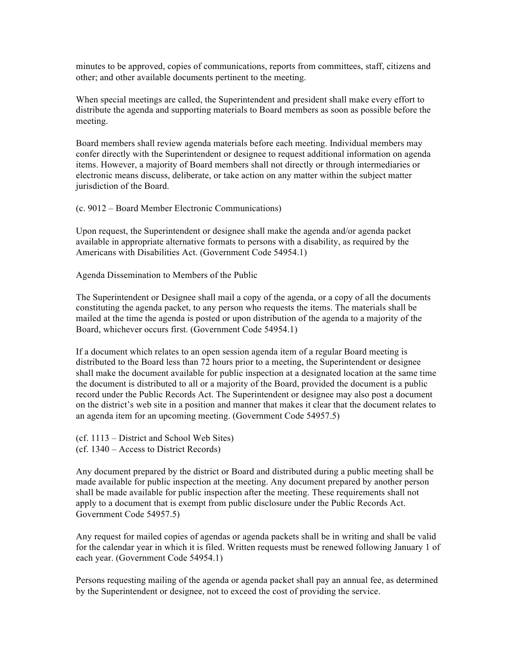minutes to be approved, copies of communications, reports from committees, staff, citizens and other; and other available documents pertinent to the meeting.

When special meetings are called, the Superintendent and president shall make every effort to distribute the agenda and supporting materials to Board members as soon as possible before the meeting.

Board members shall review agenda materials before each meeting. Individual members may confer directly with the Superintendent or designee to request additional information on agenda items. However, a majority of Board members shall not directly or through intermediaries or electronic means discuss, deliberate, or take action on any matter within the subject matter jurisdiction of the Board.

(c. 9012 – Board Member Electronic Communications)

Upon request, the Superintendent or designee shall make the agenda and/or agenda packet available in appropriate alternative formats to persons with a disability, as required by the Americans with Disabilities Act. (Government Code 54954.1)

Agenda Dissemination to Members of the Public

The Superintendent or Designee shall mail a copy of the agenda, or a copy of all the documents constituting the agenda packet, to any person who requests the items. The materials shall be mailed at the time the agenda is posted or upon distribution of the agenda to a majority of the Board, whichever occurs first. (Government Code 54954.1)

If a document which relates to an open session agenda item of a regular Board meeting is distributed to the Board less than 72 hours prior to a meeting, the Superintendent or designee shall make the document available for public inspection at a designated location at the same time the document is distributed to all or a majority of the Board, provided the document is a public record under the Public Records Act. The Superintendent or designee may also post a document on the district's web site in a position and manner that makes it clear that the document relates to an agenda item for an upcoming meeting. (Government Code 54957.5)

- (cf. 1113 District and School Web Sites)
- (cf. 1340 Access to District Records)

Any document prepared by the district or Board and distributed during a public meeting shall be made available for public inspection at the meeting. Any document prepared by another person shall be made available for public inspection after the meeting. These requirements shall not apply to a document that is exempt from public disclosure under the Public Records Act. Government Code 54957.5)

Any request for mailed copies of agendas or agenda packets shall be in writing and shall be valid for the calendar year in which it is filed. Written requests must be renewed following January 1 of each year. (Government Code 54954.1)

Persons requesting mailing of the agenda or agenda packet shall pay an annual fee, as determined by the Superintendent or designee, not to exceed the cost of providing the service.